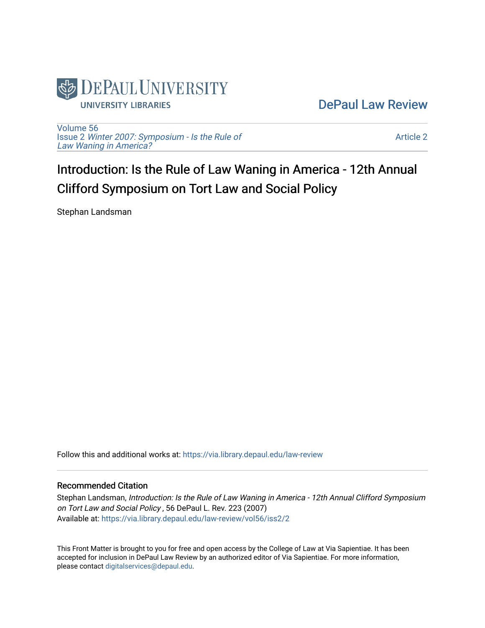

[DePaul Law Review](https://via.library.depaul.edu/law-review) 

[Volume 56](https://via.library.depaul.edu/law-review/vol56) Issue 2 [Winter 2007: Symposium - Is the Rule of](https://via.library.depaul.edu/law-review/vol56/iss2) [Law Waning in America?](https://via.library.depaul.edu/law-review/vol56/iss2) 

[Article 2](https://via.library.depaul.edu/law-review/vol56/iss2/2) 

Introduction: Is the Rule of Law Waning in America - 12th Annual Clifford Symposium on Tort Law and Social Policy

Stephan Landsman

Follow this and additional works at: [https://via.library.depaul.edu/law-review](https://via.library.depaul.edu/law-review?utm_source=via.library.depaul.edu%2Flaw-review%2Fvol56%2Fiss2%2F2&utm_medium=PDF&utm_campaign=PDFCoverPages) 

## Recommended Citation

Stephan Landsman, Introduction: Is the Rule of Law Waning in America - 12th Annual Clifford Symposium on Tort Law and Social Policy , 56 DePaul L. Rev. 223 (2007) Available at: [https://via.library.depaul.edu/law-review/vol56/iss2/2](https://via.library.depaul.edu/law-review/vol56/iss2/2?utm_source=via.library.depaul.edu%2Flaw-review%2Fvol56%2Fiss2%2F2&utm_medium=PDF&utm_campaign=PDFCoverPages) 

This Front Matter is brought to you for free and open access by the College of Law at Via Sapientiae. It has been accepted for inclusion in DePaul Law Review by an authorized editor of Via Sapientiae. For more information, please contact [digitalservices@depaul.edu.](mailto:digitalservices@depaul.edu)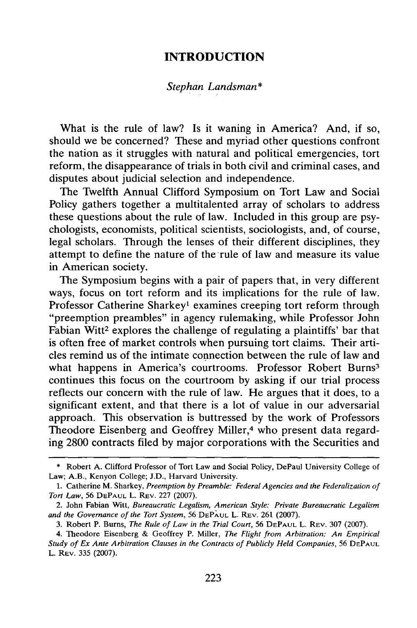## **INTRODUCTION**

## *Stephan Landsman\**

What is the rule of law? Is it waning in America? And, if so, should we be concerned? These and myriad other questions confront the nation as it struggles with natural and political emergencies, tort reform, the disappearance of trials in both civil and criminal cases, and disputes about judicial selection and independence.

The Twelfth Annual Clifford Symposium on Tort Law and Social Policy gathers together a multitalented array of scholars to address these questions about the rule of law. Included in this group are psychologists, economists, political scientists, sociologists, and, of course, legal scholars. Through the lenses of their different disciplines, they attempt to define the nature of the rule of law and measure its value in American society.

The Symposium begins with a pair of papers that, in very different ways, focus on tort reform and its implications for the rule of law. Professor Catherine Sharkey' examines creeping tort reform through "preemption preambles" in agency rulemaking, while Professor John Fabian Witt<sup>2</sup> explores the challenge of regulating a plaintiffs' bar that is often free of market controls when pursuing tort claims. Their articles remind us of the intimate connection between the rule of law and what happens in America's courtrooms. Professor Robert Burns<sup>3</sup> continues this focus on the courtroom by asking if our trial process reflects our concern with the rule of law. He argues that it does, to a significant extent, and that there is a lot of value in our adversarial approach. This observation is buttressed by the work of Professors Theodore Eisenberg and Geoffrey Miller,<sup>4</sup> who present data regarding 2800 contracts filed by major corporations with the Securities and

<sup>\*</sup> Robert A. Clifford Professor of Tort Law and Social Policy, DePaul University College of Law; A.B., Kenyon College; J.D., Harvard University.

<sup>1.</sup> Catherine M. Sharkey, *Preemption by Preamble: Federal Agencies and the Federalization of Tort Law,* 56 **DEPAUL** L. REV. 227 (2007).

<sup>2.</sup> John Fabian Witt, *Bureaucratic Legalism, American Style: Private Bureaucratic Legalism and the Governance of the Tort System,* 56 **DEPAUL** L. REV. 261 (2007).

<sup>3.</sup> Robert P. Burns, *The Rule of Law in the Trial Court,* 56 **DEPAUL** L. REV. 307 (2007).

<sup>4.</sup> Theodore Eisenberg & Geoffrey P. Miller, *The Flight from Arbitration: An Empirical Study of Ex Ante Arbitration Clauses in the Contracts of Publicly Held Companies,* 56 **DEPAUL** L. REV. 335 (2007).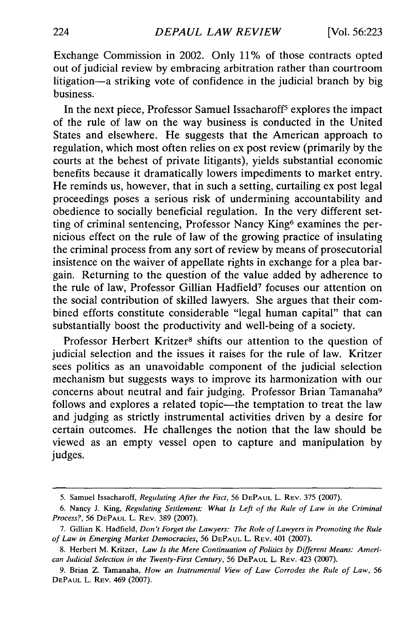Exchange Commission in 2002. Only 11% of those contracts opted out of judicial review by embracing arbitration rather than courtroom litigation-a striking vote of confidence in the judicial branch by big business.

In the next piece, Professor Samuel Issacharoff5 explores the impact of the rule of law on the way business is conducted in the United States and elsewhere. He suggests that the American approach to regulation, which most often relies on ex post review (primarily by the courts at the behest of private litigants), yields substantial economic benefits because it dramatically lowers impediments to market entry. He reminds us, however, that in such a setting, curtailing ex post legal proceedings poses a serious risk of undermining accountability and obedience to socially beneficial regulation. In the very different setting of criminal sentencing, Professor Nancy King<sup>6</sup> examines the pernicious effect on the rule of law of the growing practice of insulating the criminal process from any sort of review by means of prosecutorial insistence on the waiver of appellate rights in exchange for a plea bargain. Returning to the question of the value added by adherence to the rule of law, Professor Gillian Hadfield<sup>7</sup> focuses our attention on the social contribution of skilled lawyers. She argues that their combined efforts constitute considerable "legal human capital" that can substantially boost the productivity and well-being of a society.

Professor Herbert Kritzer<sup>8</sup> shifts our attention to the question of judicial selection and the issues it raises for the rule of law. Kritzer sees politics as an unavoidable component of the judicial selection mechanism but suggests ways to improve its harmonization with our concerns about neutral and fair judging. Professor Brian Tamanaha<sup>9</sup> follows and explores a related topic—the temptation to treat the law and judging as strictly instrumental activities driven by a desire for certain outcomes. He challenges the notion that the law should be viewed as an empty vessel open to capture and manipulation by judges.

<sup>5.</sup> Samuel Issacharoff, *Regulating After the Fact,* 56 **DEPAUL** L. REV. 375 (2007).

<sup>6.</sup> Nancy J. King, *Regulating Settlement: What Is Left of the Rule of Law in the Criminal Process?,* 56 **DEPAUL** L. REV. 389 (2007).

<sup>7.</sup> Gillian K. Hadfield, *Don't Forget the Lawyers: The Role of Lawyers in Promoting the Rule of Law in Emerging Market Democracies,* 56 **DEPAUL** L. REV. 401 (2007).

<sup>8.</sup> Herbert M. Kritzer, *Law Is the Mere Continuation of Politics by Different Means: American Judicial Selection in the Twenty-First Century,* 56 **DEPAUL** L. REV. 423 (2007).

<sup>9.</sup> Brian Z. Tamanaha, *How an Instrumental View of Law Corrodes the Rule of Law,* <sup>56</sup> **DEPAUL** L. REV. 469 (2007).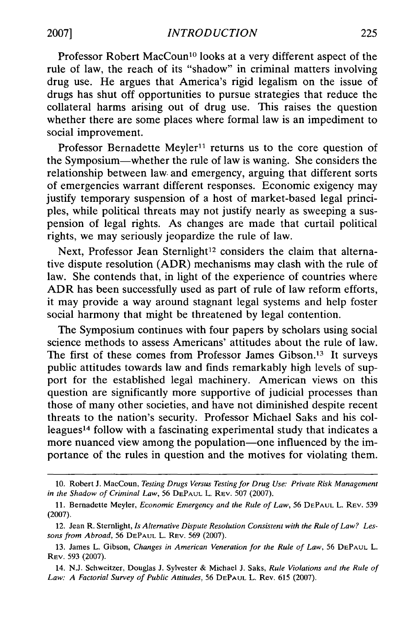Professor Robert MacCoun<sup>10</sup> looks at a very different aspect of the rule of law, the reach of its "shadow" in criminal matters involving drug use. He argues that America's rigid legalism on the issue of drugs has shut off opportunities to pursue strategies that reduce the collateral harms arising out of drug use. This raises the question whether there are some places where formal law is an impediment to social improvement.

Professor Bernadette Meyler<sup>11</sup> returns us to the core question of the Symposium-whether the rule of law is waning. She considers the relationship between law. and emergency, arguing that different sorts of emergencies warrant different responses. Economic exigency may justify temporary suspension of a host of market-based legal principles, while political threats may not justify nearly as sweeping a suspension of legal rights. As changes are made that curtail political rights, we may seriously jeopardize the rule of law.

Next, Professor Jean Sternlight<sup>12</sup> considers the claim that alternative dispute resolution (ADR) mechanisms may clash with the rule of law. She contends that, in light of the experience of countries where ADR has been successfully used as part of rule of law reform efforts, it may provide a way around stagnant legal systems and help foster social harmony that might be threatened by legal contention.

The Symposium continues with four papers by scholars using social science methods to assess Americans' attitudes about the rule of law. The first of these comes from Professor James Gibson.<sup>13</sup> It surveys public attitudes towards law and finds remarkably high levels of support for the established legal machinery. American views on this question are significantly more supportive of judicial processes than those of many other societies, and have not diminished despite recent threats to the nation's security. Professor Michael Saks and his colleagues 14 follow with a fascinating experimental study that indicates a more nuanced view among the population—one influenced by the importance of the rules in question and the motives for violating them.

<sup>10.</sup> Robert J. MacCoun, *Testing Drugs Versus Testing for Drug Use: Private Risk Management in the Shadow of Criminal Law,* 56 **DEPAUL** L. REV. 507 (2007).

<sup>11.</sup> Bernadette Meyler, *Economic Emergency and the Rule of Law,* 56 **DEPAUL** L. REV. 539 (2007).

<sup>12.</sup> Jean R. Sternlight, *Is Alternative Dispute Resolution Consistent with the Rule of Law? Lessons from Abroad,* 56 **DEPAUL** L. REV. 569 (2007).

<sup>13.</sup> James L. Gibson, *Changes in American Veneration for the Rule of Law,* 56 **DEPAUL** L. REv. 593 (2007).

<sup>14.</sup> N.J. Schweitzer, Douglas J. Sylvester & Michael J. Saks, *Rule Violations and the Rule of Law: A Factorial Survey of Public Attitudes,* 56 **DEPAUL** L. Rev. 615 (2007).